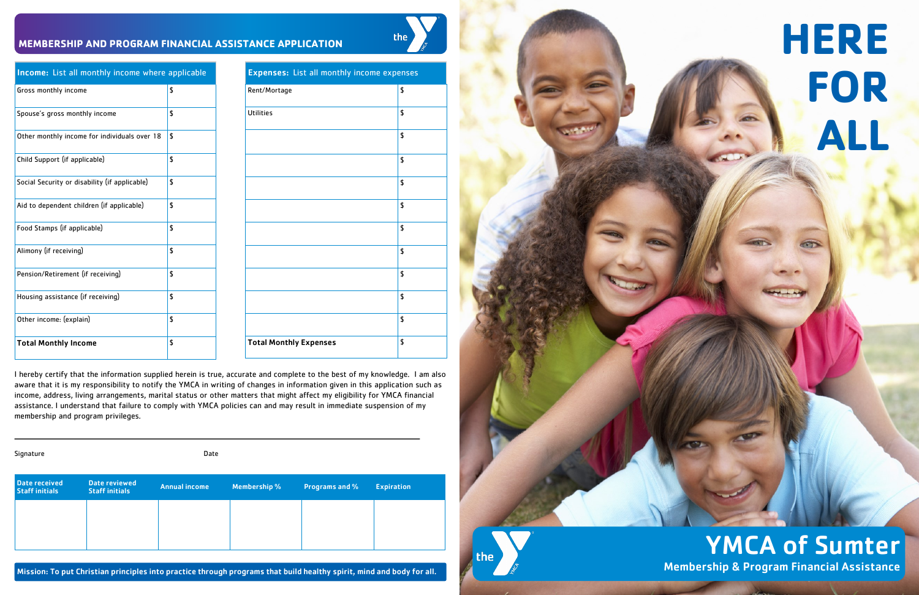#### $\boxed{\text{Gross monthly income}}$  \$

#### I hereby certify that the information supplied herein is true, accurate and complete to the best of my knowledge. I am also aware that it is my responsibility to notify the YMCA in writing of changes in information given in this application such as income, address, living arrangements, marital status or other matters that might affect my eligibility for YMCA financial assistance. I understand that failure to comply with YMCA policies can and may result in immediate suspension of my membership and program privileges.

Income: List all monthly income where applicable

Rent/Mortage states and the set of the set of  $\frac{1}{3}$ Utilities **\$**  $|<sub>5</sub>|$  $\vert$  \$  $\vert$  s  $|<sub>5</sub>|$ \$  $\vert$  \$  $\vert$  \$  $\vert$  \$  $|<sub>5</sub>|$ Total Monthly Expenses 5





| Spouse's gross monthly income                 | \$ |
|-----------------------------------------------|----|
| Other monthly income for individuals over 18  | \$ |
| Child Support (if applicable)                 | \$ |
| Social Security or disability (if applicable) | \$ |
| Aid to dependent children (if applicable)     | \$ |
| Food Stamps (if applicable)                   | \$ |
| Alimony (if receiving)                        | \$ |
| Pension/Retirement (if receiving)             | \$ |
| Housing assistance (if receiving)             | \$ |
| Other income: (explain)                       | \$ |
| <b>Total Monthly Income</b>                   | \$ |

| Signature                              |                                        | Date                 |              |                       |                   |
|----------------------------------------|----------------------------------------|----------------------|--------------|-----------------------|-------------------|
| Date received<br><b>Staff initials</b> | Date reviewed<br><b>Staff initials</b> | <b>Annual income</b> | Membership % | <b>Programs and %</b> | <b>Expiration</b> |
|                                        |                                        |                      |              |                       |                   |
|                                        |                                        |                      |              |                       |                   |

Mission: To put Christian principles into practice through programs that build healthy spirit, mind and body for all.

# **HERE FOR ALL**

YMCA of Sumter Membership & Program Financial Assistance